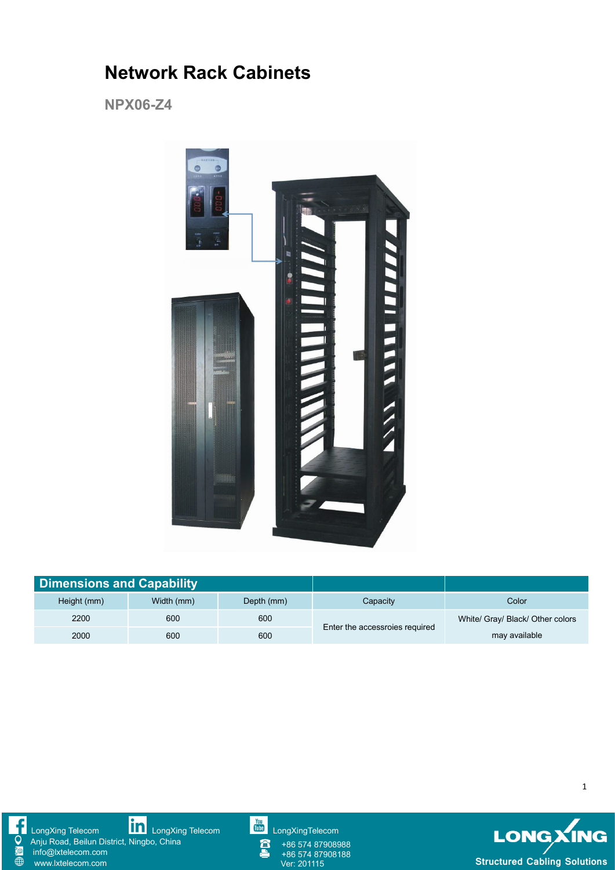## **Network Rack Cabinets**

**NPX06-Z4**



| <b>Dimensions and Capability</b> |            |            |                                |                                  |
|----------------------------------|------------|------------|--------------------------------|----------------------------------|
| Height (mm)                      | Width (mm) | Depth (mm) | Capacity                       | Color                            |
| 2200                             | 600        | 600        | Enter the accessroies required | White/ Gray/ Black/ Other colors |
| 2000                             | 600        | 600        |                                | may available                    |



[LongXing](https://www.linkedin.com/company/longxing-telecom) Telecom **LONE LongXing Telecom [LongXingTelecom](https://www.youtube.com/user/LongXingTelecom)** LongXingTelecom LongXing Telecom Anju Road, Beilun District, Ningbo, China

info@lxtelecom.com [www.lxtelecom.com](http://www.lxtelecom.com/)